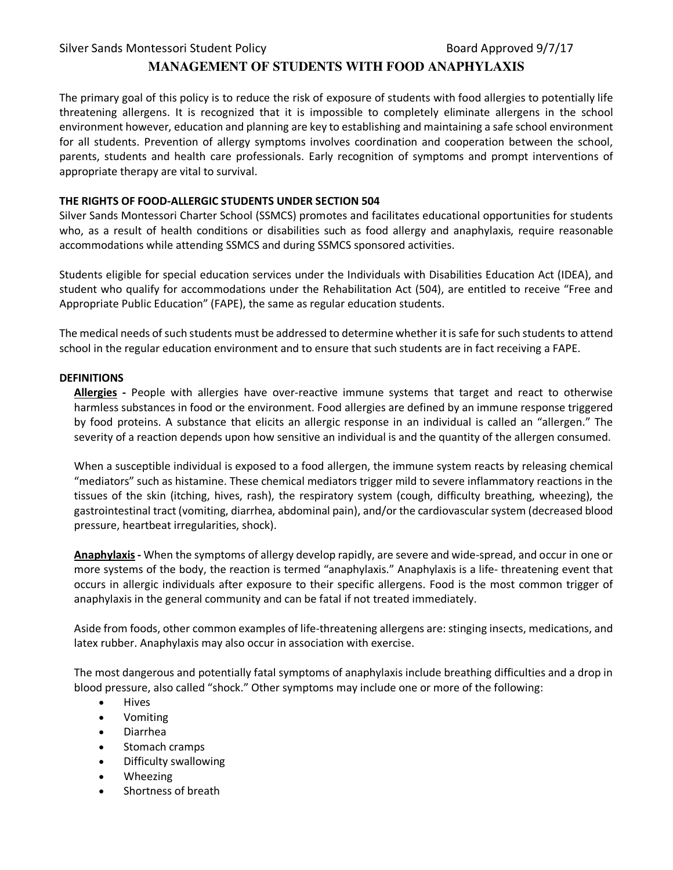# **MANAGEMENT OF STUDENTS WITH FOOD ANAPHYLAXIS**

The primary goal of this policy is to reduce the risk of exposure of students with food allergies to potentially life threatening allergens. It is recognized that it is impossible to completely eliminate allergens in the school environment however, education and planning are key to establishing and maintaining a safe school environment for all students. Prevention of allergy symptoms involves coordination and cooperation between the school, parents, students and health care professionals. Early recognition of symptoms and prompt interventions of appropriate therapy are vital to survival.

#### **THE RIGHTS OF FOOD-ALLERGIC STUDENTS UNDER SECTION 504**

Silver Sands Montessori Charter School (SSMCS) promotes and facilitates educational opportunities for students who, as a result of health conditions or disabilities such as food allergy and anaphylaxis, require reasonable accommodations while attending SSMCS and during SSMCS sponsored activities.

Students eligible for special education services under the Individuals with Disabilities Education Act (IDEA), and student who qualify for accommodations under the Rehabilitation Act (504), are entitled to receive "Free and Appropriate Public Education" (FAPE), the same as regular education students.

The medical needs of such students must be addressed to determine whether it is safe for such students to attend school in the regular education environment and to ensure that such students are in fact receiving a FAPE.

#### **DEFINITIONS**

**Allergies -** People with allergies have over-reactive immune systems that target and react to otherwise harmless substances in food or the environment. Food allergies are defined by an immune response triggered by food proteins. A substance that elicits an allergic response in an individual is called an "allergen." The severity of a reaction depends upon how sensitive an individual is and the quantity of the allergen consumed.

When a susceptible individual is exposed to a food allergen, the immune system reacts by releasing chemical "mediators" such as histamine. These chemical mediators trigger mild to severe inflammatory reactions in the tissues of the skin (itching, hives, rash), the respiratory system (cough, difficulty breathing, wheezing), the gastrointestinal tract (vomiting, diarrhea, abdominal pain), and/or the cardiovascular system (decreased blood pressure, heartbeat irregularities, shock).

**Anaphylaxis-** When the symptoms of allergy develop rapidly, are severe and wide-spread, and occur in one or more systems of the body, the reaction is termed "anaphylaxis." Anaphylaxis is a life- threatening event that occurs in allergic individuals after exposure to their specific allergens. Food is the most common trigger of anaphylaxis in the general community and can be fatal if not treated immediately.

Aside from foods, other common examples of life-threatening allergens are: stinging insects, medications, and latex rubber. Anaphylaxis may also occur in association with exercise.

The most dangerous and potentially fatal symptoms of anaphylaxis include breathing difficulties and a drop in blood pressure, also called "shock." Other symptoms may include one or more of the following:

- Hives
- Vomiting
- Diarrhea
- Stomach cramps
- Difficulty swallowing
- Wheezing
- Shortness of breath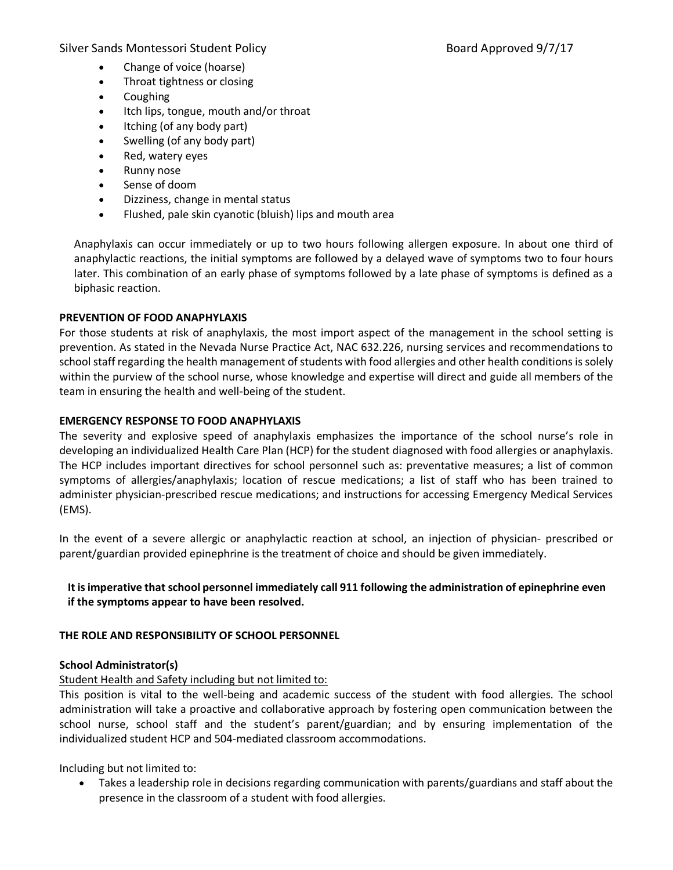- Change of voice (hoarse)
- Throat tightness or closing
- Coughing
- Itch lips, tongue, mouth and/or throat
- Itching (of any body part)
- Swelling (of any body part)
- Red, watery eyes
- Runny nose
- Sense of doom
- Dizziness, change in mental status
- Flushed, pale skin cyanotic (bluish) lips and mouth area

Anaphylaxis can occur immediately or up to two hours following allergen exposure. In about one third of anaphylactic reactions, the initial symptoms are followed by a delayed wave of symptoms two to four hours later. This combination of an early phase of symptoms followed by a late phase of symptoms is defined as a biphasic reaction.

#### **PREVENTION OF FOOD ANAPHYLAXIS**

For those students at risk of anaphylaxis, the most import aspect of the management in the school setting is prevention. As stated in the Nevada Nurse Practice Act, NAC 632.226, nursing services and recommendations to school staff regarding the health management of students with food allergies and other health conditions is solely within the purview of the school nurse, whose knowledge and expertise will direct and guide all members of the team in ensuring the health and well-being of the student.

#### **EMERGENCY RESPONSE TO FOOD ANAPHYLAXIS**

The severity and explosive speed of anaphylaxis emphasizes the importance of the school nurse's role in developing an individualized Health Care Plan (HCP) for the student diagnosed with food allergies or anaphylaxis. The HCP includes important directives for school personnel such as: preventative measures; a list of common symptoms of allergies/anaphylaxis; location of rescue medications; a list of staff who has been trained to administer physician-prescribed rescue medications; and instructions for accessing Emergency Medical Services (EMS).

In the event of a severe allergic or anaphylactic reaction at school, an injection of physician- prescribed or parent/guardian provided epinephrine is the treatment of choice and should be given immediately.

### **It is imperative that school personnel immediately call 911 following the administration of epinephrine even if the symptoms appear to have been resolved.**

#### **THE ROLE AND RESPONSIBILITY OF SCHOOL PERSONNEL**

### **School Administrator(s)**

### Student Health and Safety including but not limited to:

This position is vital to the well-being and academic success of the student with food allergies. The school administration will take a proactive and collaborative approach by fostering open communication between the school nurse, school staff and the student's parent/guardian; and by ensuring implementation of the individualized student HCP and 504-mediated classroom accommodations.

Including but not limited to:

• Takes a leadership role in decisions regarding communication with parents/guardians and staff about the presence in the classroom of a student with food allergies.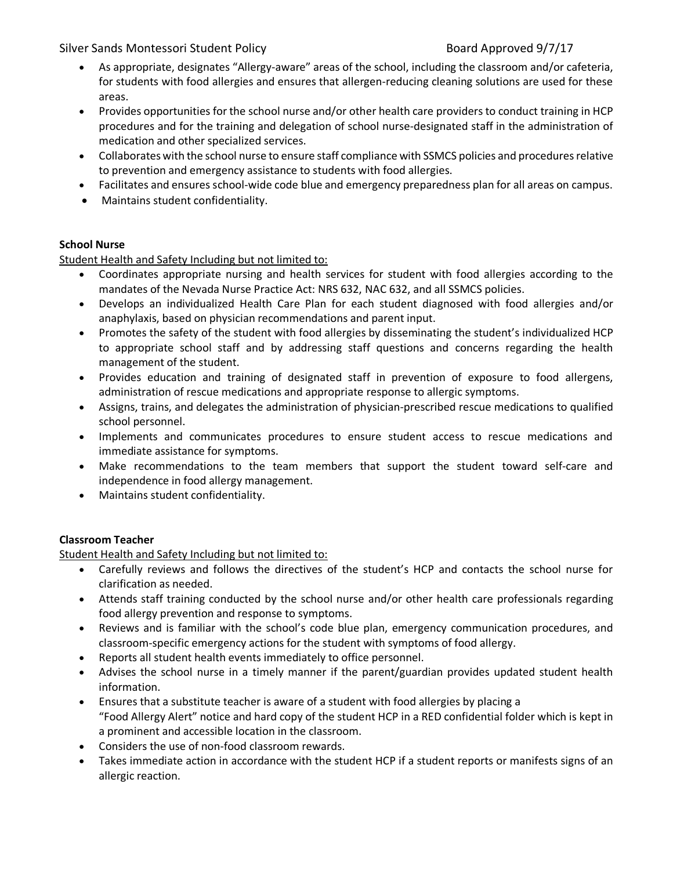- As appropriate, designates "Allergy-aware" areas of the school, including the classroom and/or cafeteria, for students with food allergies and ensures that allergen-reducing cleaning solutions are used for these areas.
- Provides opportunities for the school nurse and/or other health care providers to conduct training in HCP procedures and for the training and delegation of school nurse-designated staff in the administration of medication and other specialized services.
- Collaborates with the school nurse to ensure staff compliance with SSMCS policies and procedures relative to prevention and emergency assistance to students with food allergies.
- Facilitates and ensures school-wide code blue and emergency preparedness plan for all areas on campus.
- Maintains student confidentiality.

### **School Nurse**

Student Health and Safety Including but not limited to:

- Coordinates appropriate nursing and health services for student with food allergies according to the mandates of the Nevada Nurse Practice Act: NRS 632, NAC 632, and all SSMCS policies.
- Develops an individualized Health Care Plan for each student diagnosed with food allergies and/or anaphylaxis, based on physician recommendations and parent input.
- Promotes the safety of the student with food allergies by disseminating the student's individualized HCP to appropriate school staff and by addressing staff questions and concerns regarding the health management of the student.
- Provides education and training of designated staff in prevention of exposure to food allergens, administration of rescue medications and appropriate response to allergic symptoms.
- Assigns, trains, and delegates the administration of physician-prescribed rescue medications to qualified school personnel.
- Implements and communicates procedures to ensure student access to rescue medications and immediate assistance for symptoms.
- Make recommendations to the team members that support the student toward self-care and independence in food allergy management.
- Maintains student confidentiality.

### **Classroom Teacher**

Student Health and Safety Including but not limited to:

- Carefully reviews and follows the directives of the student's HCP and contacts the school nurse for clarification as needed.
- Attends staff training conducted by the school nurse and/or other health care professionals regarding food allergy prevention and response to symptoms.
- Reviews and is familiar with the school's code blue plan, emergency communication procedures, and classroom-specific emergency actions for the student with symptoms of food allergy.
- Reports all student health events immediately to office personnel.
- Advises the school nurse in a timely manner if the parent/guardian provides updated student health information.
- Ensures that a substitute teacher is aware of a student with food allergies by placing a "Food Allergy Alert" notice and hard copy of the student HCP in a RED confidential folder which is kept in a prominent and accessible location in the classroom.
- Considers the use of non-food classroom rewards.
- Takes immediate action in accordance with the student HCP if a student reports or manifests signs of an allergic reaction.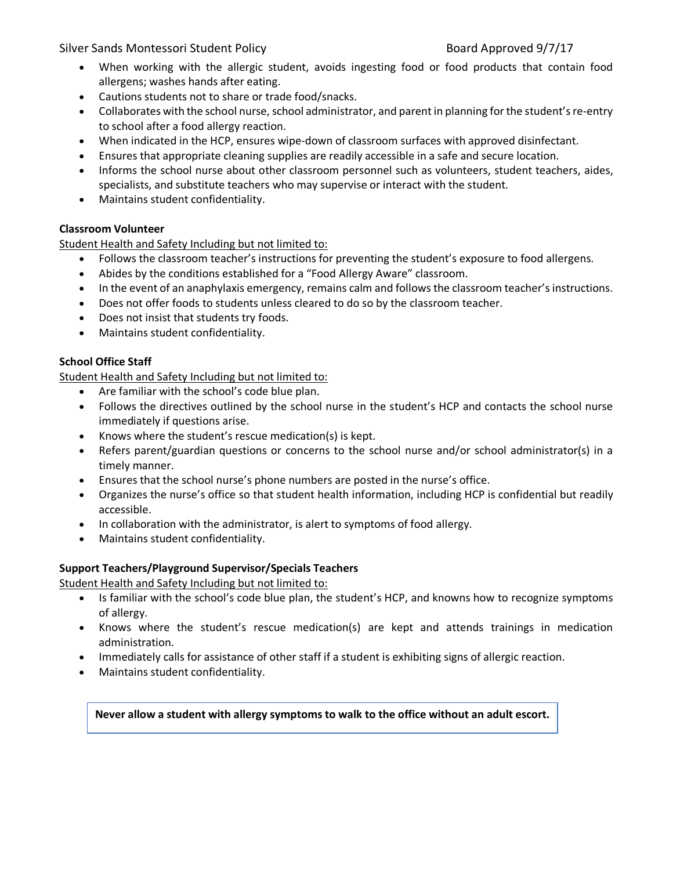- When working with the allergic student, avoids ingesting food or food products that contain food allergens; washes hands after eating.
- Cautions students not to share or trade food/snacks.
- Collaborates with the school nurse, school administrator, and parent in planning for the student's re-entry to school after a food allergy reaction.
- When indicated in the HCP, ensures wipe-down of classroom surfaces with approved disinfectant.
- Ensures that appropriate cleaning supplies are readily accessible in a safe and secure location.
- Informs the school nurse about other classroom personnel such as volunteers, student teachers, aides, specialists, and substitute teachers who may supervise or interact with the student.
- Maintains student confidentiality.

# **Classroom Volunteer**

Student Health and Safety Including but not limited to:

- Follows the classroom teacher's instructions for preventing the student's exposure to food allergens.
- Abides by the conditions established for a "Food Allergy Aware" classroom.
- In the event of an anaphylaxis emergency, remains calm and follows the classroom teacher's instructions.
- Does not offer foods to students unless cleared to do so by the classroom teacher.
- Does not insist that students try foods.
- Maintains student confidentiality.

# **School Office Staff**

Student Health and Safety Including but not limited to:

- Are familiar with the school's code blue plan.
- Follows the directives outlined by the school nurse in the student's HCP and contacts the school nurse immediately if questions arise.
- Knows where the student's rescue medication(s) is kept.
- Refers parent/guardian questions or concerns to the school nurse and/or school administrator(s) in a timely manner.
- Ensures that the school nurse's phone numbers are posted in the nurse's office.
- Organizes the nurse's office so that student health information, including HCP is confidential but readily accessible.
- In collaboration with the administrator, is alert to symptoms of food allergy.
- Maintains student confidentiality.

# **Support Teachers/Playground Supervisor/Specials Teachers**

Student Health and Safety Including but not limited to:

- Is familiar with the school's code blue plan, the student's HCP, and knowns how to recognize symptoms of allergy.
- Knows where the student's rescue medication(s) are kept and attends trainings in medication administration.
- Immediately calls for assistance of other staff if a student is exhibiting signs of allergic reaction.
- Maintains student confidentiality.

**Never allow a student with allergy symptoms to walk to the office without an adult escort.**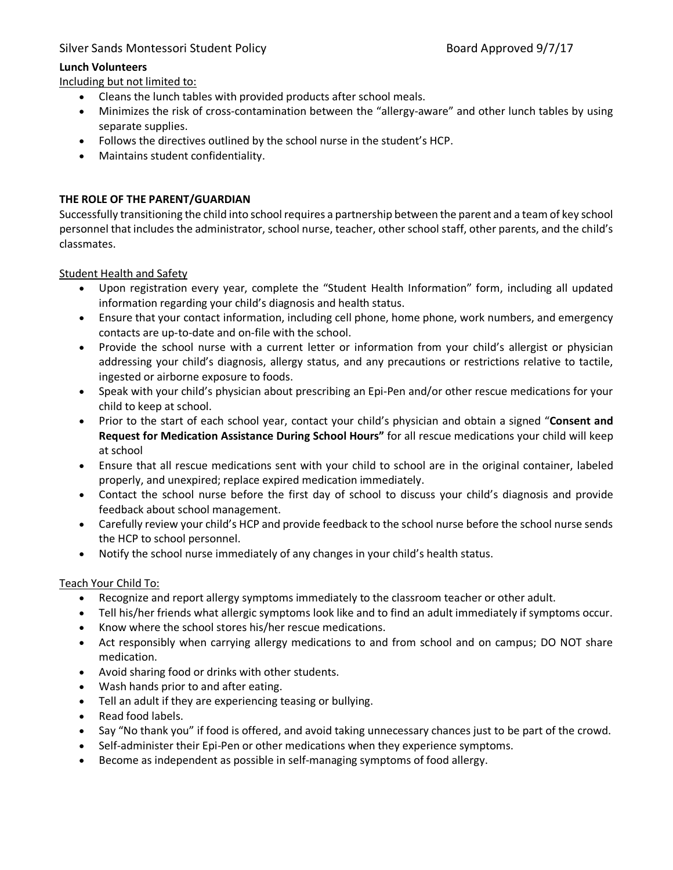# **Lunch Volunteers**

Including but not limited to:

- Cleans the lunch tables with provided products after school meals.
- Minimizes the risk of cross-contamination between the "allergy-aware" and other lunch tables by using separate supplies.
- Follows the directives outlined by the school nurse in the student's HCP.
- Maintains student confidentiality.

# **THE ROLE OF THE PARENT/GUARDIAN**

Successfully transitioning the child into school requires a partnership between the parent and a team of key school personnel that includes the administrator, school nurse, teacher, other school staff, other parents, and the child's classmates.

Student Health and Safety

- Upon registration every year, complete the "Student Health Information" form, including all updated information regarding your child's diagnosis and health status.
- Ensure that your contact information, including cell phone, home phone, work numbers, and emergency contacts are up-to-date and on-file with the school.
- Provide the school nurse with a current letter or information from your child's allergist or physician addressing your child's diagnosis, allergy status, and any precautions or restrictions relative to tactile, ingested or airborne exposure to foods.
- Speak with your child's physician about prescribing an Epi-Pen and/or other rescue medications for your child to keep at school.
- Prior to the start of each school year, contact your child's physician and obtain a signed "**Consent and Request for Medication Assistance During School Hours"** for all rescue medications your child will keep at school
- Ensure that all rescue medications sent with your child to school are in the original container, labeled properly, and unexpired; replace expired medication immediately.
- Contact the school nurse before the first day of school to discuss your child's diagnosis and provide feedback about school management.
- Carefully review your child's HCP and provide feedback to the school nurse before the school nurse sends the HCP to school personnel.
- Notify the school nurse immediately of any changes in your child's health status.

### Teach Your Child To:

- Recognize and report allergy symptoms immediately to the classroom teacher or other adult.
- Tell his/her friends what allergic symptoms look like and to find an adult immediately if symptoms occur.
- Know where the school stores his/her rescue medications.
- Act responsibly when carrying allergy medications to and from school and on campus; DO NOT share medication.
- Avoid sharing food or drinks with other students.
- Wash hands prior to and after eating.
- Tell an adult if they are experiencing teasing or bullying.
- Read food labels.
- Say "No thank you" if food is offered, and avoid taking unnecessary chances just to be part of the crowd.
- Self-administer their Epi-Pen or other medications when they experience symptoms.
- Become as independent as possible in self-managing symptoms of food allergy.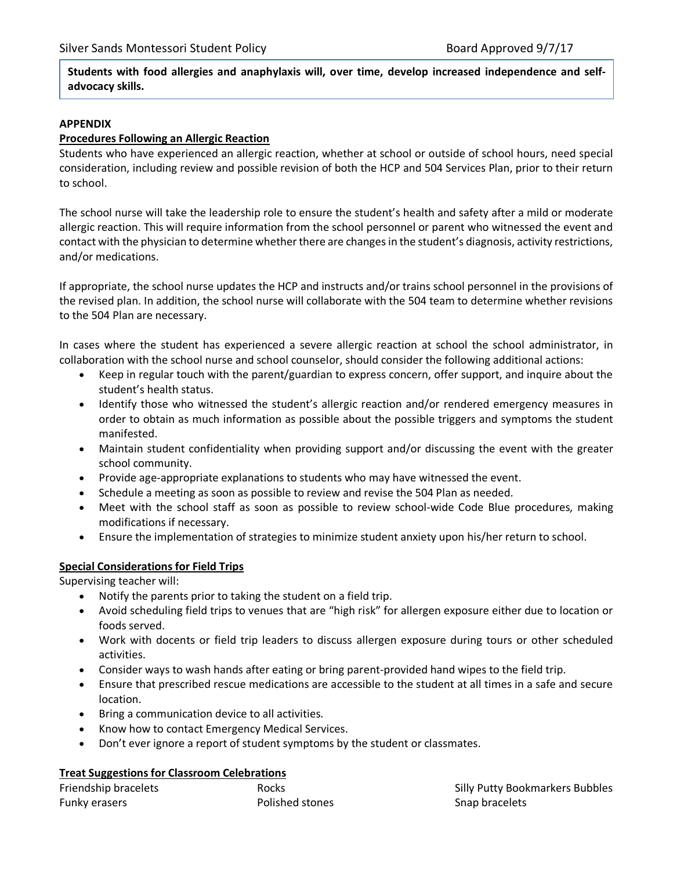**Students with food allergies and anaphylaxis will, over time, develop increased independence and selfadvocacy skills.** 

#### **APPENDIX**

#### **Procedures Following an Allergic Reaction**

Students who have experienced an allergic reaction, whether at school or outside of school hours, need special consideration, including review and possible revision of both the HCP and 504 Services Plan, prior to their return to school.

The school nurse will take the leadership role to ensure the student's health and safety after a mild or moderate allergic reaction. This will require information from the school personnel or parent who witnessed the event and contact with the physician to determine whether there are changes in the student's diagnosis, activity restrictions, and/or medications.

If appropriate, the school nurse updates the HCP and instructs and/or trains school personnel in the provisions of the revised plan. In addition, the school nurse will collaborate with the 504 team to determine whether revisions to the 504 Plan are necessary.

In cases where the student has experienced a severe allergic reaction at school the school administrator, in collaboration with the school nurse and school counselor, should consider the following additional actions:

- Keep in regular touch with the parent/guardian to express concern, offer support, and inquire about the student's health status.
- Identify those who witnessed the student's allergic reaction and/or rendered emergency measures in order to obtain as much information as possible about the possible triggers and symptoms the student manifested.
- Maintain student confidentiality when providing support and/or discussing the event with the greater school community.
- Provide age-appropriate explanations to students who may have witnessed the event.
- Schedule a meeting as soon as possible to review and revise the 504 Plan as needed.
- Meet with the school staff as soon as possible to review school-wide Code Blue procedures, making modifications if necessary.
- Ensure the implementation of strategies to minimize student anxiety upon his/her return to school.

#### **Special Considerations for Field Trips**

Supervising teacher will:

- Notify the parents prior to taking the student on a field trip.
- Avoid scheduling field trips to venues that are "high risk" for allergen exposure either due to location or foods served.
- Work with docents or field trip leaders to discuss allergen exposure during tours or other scheduled activities.
- Consider ways to wash hands after eating or bring parent-provided hand wipes to the field trip.
- Ensure that prescribed rescue medications are accessible to the student at all times in a safe and secure location.
- Bring a communication device to all activities.
- Know how to contact Emergency Medical Services.
- Don't ever ignore a report of student symptoms by the student or classmates.

#### **Treat Suggestions for Classroom Celebrations**

| Friendship bracelets | Rocks           |
|----------------------|-----------------|
| Funky erasers        | Polished stones |

Silly Putty Bookmarkers Bubbles Snap bracelets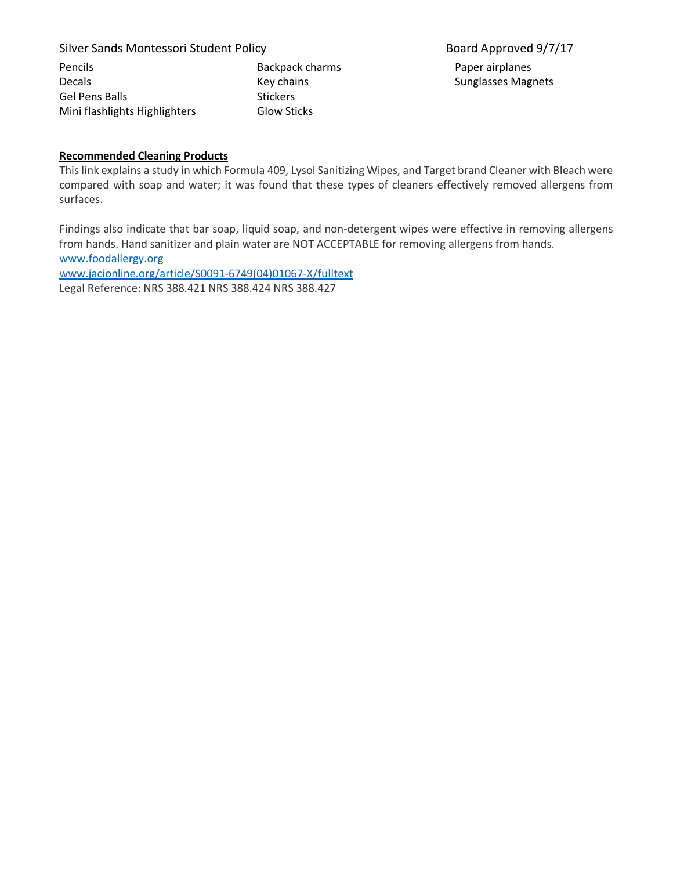| <b>Pencils</b>                | Backpack charms    |
|-------------------------------|--------------------|
| <b>Decals</b>                 | Key chains         |
| <b>Gel Pens Balls</b>         | <b>Stickers</b>    |
| Mini flashlights Highlighters | <b>Glow Sticks</b> |

Paper airplanes Sunglasses Magnets

#### **Recommended Cleaning Products**

This link explains a study in which Formula 409, Lysol Sanitizing Wipes, and Target brand Cleaner with Bleach were compared with soap and water; it was found that these types of cleaners effectively removed allergens from surfaces.

Findings also indicate that bar soap, liquid soap, and non-detergent wipes were effective in removing allergens from hands. Hand sanitizer and plain water are NOT ACCEPTABLE for removing allergens from hands. www.foodallergy.org www.jacionline.org/article/S0091-6749(04)01067-X/fulltext Legal Reference: NRS 388.421 NRS 388.424 NRS 388.427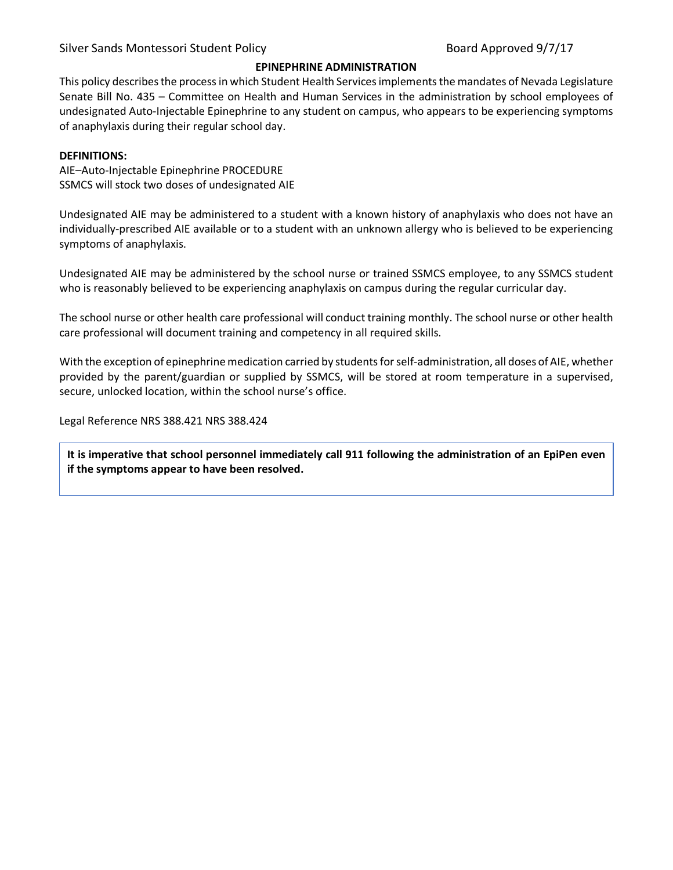#### **EPINEPHRINE ADMINISTRATION**

This policy describes the process in which Student Health Services implements the mandates of Nevada Legislature Senate Bill No. 435 – Committee on Health and Human Services in the administration by school employees of undesignated Auto-Injectable Epinephrine to any student on campus, who appears to be experiencing symptoms of anaphylaxis during their regular school day.

#### **DEFINITIONS:**

AIE–Auto-Injectable Epinephrine PROCEDURE SSMCS will stock two doses of undesignated AIE

Undesignated AIE may be administered to a student with a known history of anaphylaxis who does not have an individually-prescribed AIE available or to a student with an unknown allergy who is believed to be experiencing symptoms of anaphylaxis.

Undesignated AIE may be administered by the school nurse or trained SSMCS employee, to any SSMCS student who is reasonably believed to be experiencing anaphylaxis on campus during the regular curricular day.

The school nurse or other health care professional will conduct training monthly. The school nurse or other health care professional will document training and competency in all required skills.

With the exception of epinephrine medication carried by students for self-administration, all doses of AIE, whether provided by the parent/guardian or supplied by SSMCS, will be stored at room temperature in a supervised, secure, unlocked location, within the school nurse's office.

Legal Reference NRS 388.421 NRS 388.424

**It is imperative that school personnel immediately call 911 following the administration of an EpiPen even if the symptoms appear to have been resolved.**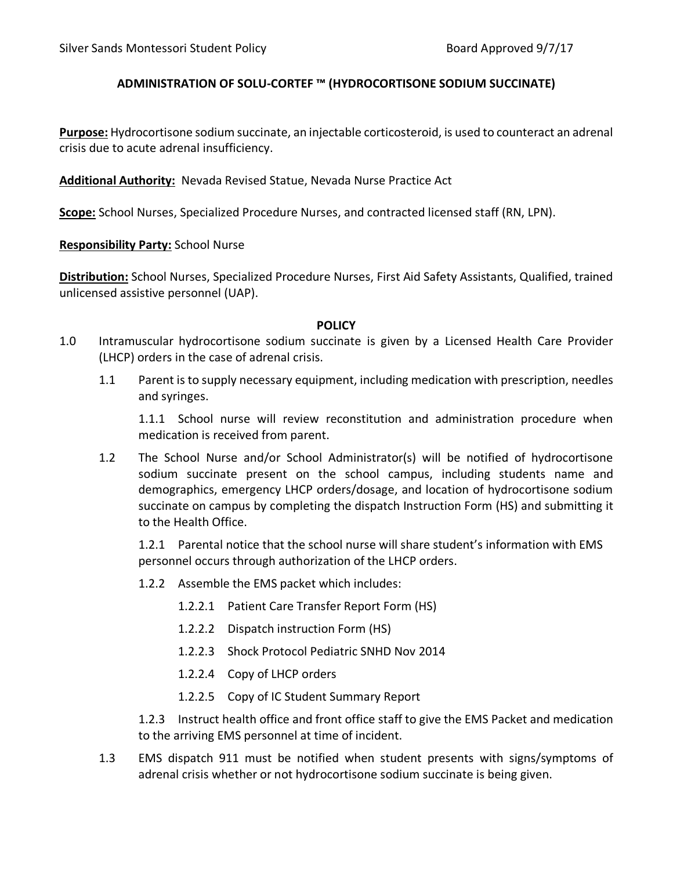# **ADMINISTRATION OF SOLU-CORTEF ™ (HYDROCORTISONE SODIUM SUCCINATE)**

**Purpose:** Hydrocortisone sodium succinate, an injectable corticosteroid, is used to counteract an adrenal crisis due to acute adrenal insufficiency.

**Additional Authority:** Nevada Revised Statue, Nevada Nurse Practice Act

**Scope:** School Nurses, Specialized Procedure Nurses, and contracted licensed staff (RN, LPN).

**Responsibility Party:** School Nurse

**Distribution:** School Nurses, Specialized Procedure Nurses, First Aid Safety Assistants, Qualified, trained unlicensed assistive personnel (UAP).

### **POLICY**

- 1.0 Intramuscular hydrocortisone sodium succinate is given by a Licensed Health Care Provider (LHCP) orders in the case of adrenal crisis.
	- 1.1 Parent is to supply necessary equipment, including medication with prescription, needles and syringes.

1.1.1 School nurse will review reconstitution and administration procedure when medication is received from parent.

1.2 The School Nurse and/or School Administrator(s) will be notified of hydrocortisone sodium succinate present on the school campus, including students name and demographics, emergency LHCP orders/dosage, and location of hydrocortisone sodium succinate on campus by completing the dispatch Instruction Form (HS) and submitting it to the Health Office.

1.2.1 Parental notice that the school nurse will share student's information with EMS personnel occurs through authorization of the LHCP orders.

- 1.2.2 Assemble the EMS packet which includes:
	- 1.2.2.1 Patient Care Transfer Report Form (HS)
	- 1.2.2.2 Dispatch instruction Form (HS)
	- 1.2.2.3 Shock Protocol Pediatric SNHD Nov 2014
	- 1.2.2.4 Copy of LHCP orders
	- 1.2.2.5 Copy of IC Student Summary Report

1.2.3 Instruct health office and front office staff to give the EMS Packet and medication to the arriving EMS personnel at time of incident.

1.3 EMS dispatch 911 must be notified when student presents with signs/symptoms of adrenal crisis whether or not hydrocortisone sodium succinate is being given.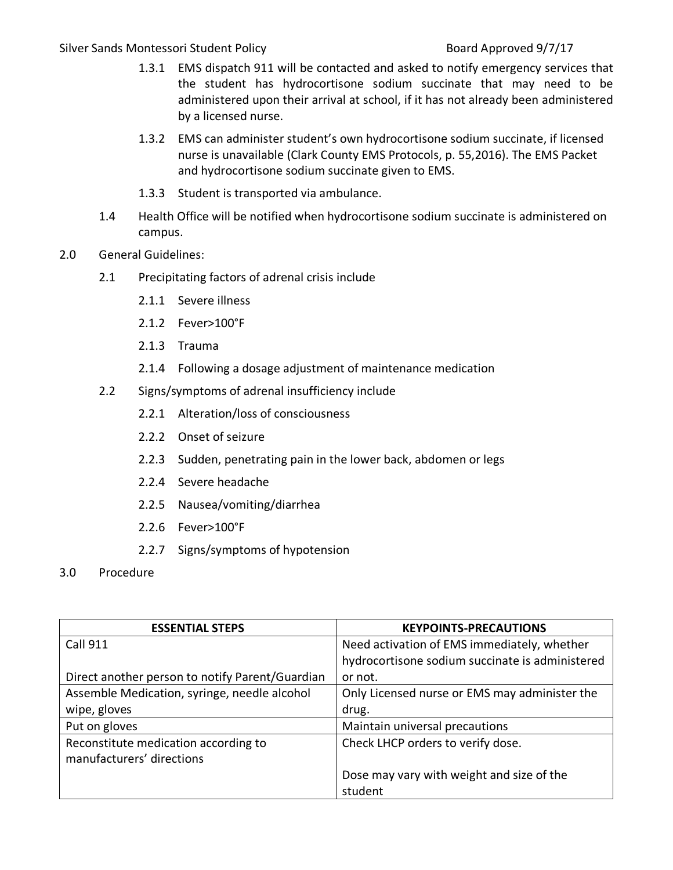- 1.3.1 EMS dispatch 911 will be contacted and asked to notify emergency services that the student has hydrocortisone sodium succinate that may need to be administered upon their arrival at school, if it has not already been administered by a licensed nurse.
- 1.3.2 EMS can administer student's own hydrocortisone sodium succinate, if licensed nurse is unavailable (Clark County EMS Protocols, p. 55,2016). The EMS Packet and hydrocortisone sodium succinate given to EMS.
- 1.3.3 Student is transported via ambulance.
- 1.4 Health Office will be notified when hydrocortisone sodium succinate is administered on campus.
- 2.0 General Guidelines:
	- 2.1 Precipitating factors of adrenal crisis include
		- 2.1.1 Severe illness
		- 2.1.2 Fever>100°F
		- 2.1.3 Trauma
		- 2.1.4 Following a dosage adjustment of maintenance medication
	- 2.2 Signs/symptoms of adrenal insufficiency include
		- 2.2.1 Alteration/loss of consciousness
		- 2.2.2 Onset of seizure
		- 2.2.3 Sudden, penetrating pain in the lower back, abdomen or legs
		- 2.2.4 Severe headache
		- 2.2.5 Nausea/vomiting/diarrhea
		- 2.2.6 Fever>100°F
		- 2.2.7 Signs/symptoms of hypotension
- 3.0 Procedure

| <b>ESSENTIAL STEPS</b>                                            | <b>KEYPOINTS-PRECAUTIONS</b>                    |
|-------------------------------------------------------------------|-------------------------------------------------|
| <b>Call 911</b>                                                   | Need activation of EMS immediately, whether     |
|                                                                   | hydrocortisone sodium succinate is administered |
| Direct another person to notify Parent/Guardian                   | or not.                                         |
| Assemble Medication, syringe, needle alcohol                      | Only Licensed nurse or EMS may administer the   |
| wipe, gloves                                                      | drug.                                           |
| Put on gloves                                                     | Maintain universal precautions                  |
| Reconstitute medication according to<br>manufacturers' directions | Check LHCP orders to verify dose.               |
|                                                                   | Dose may vary with weight and size of the       |
|                                                                   | student                                         |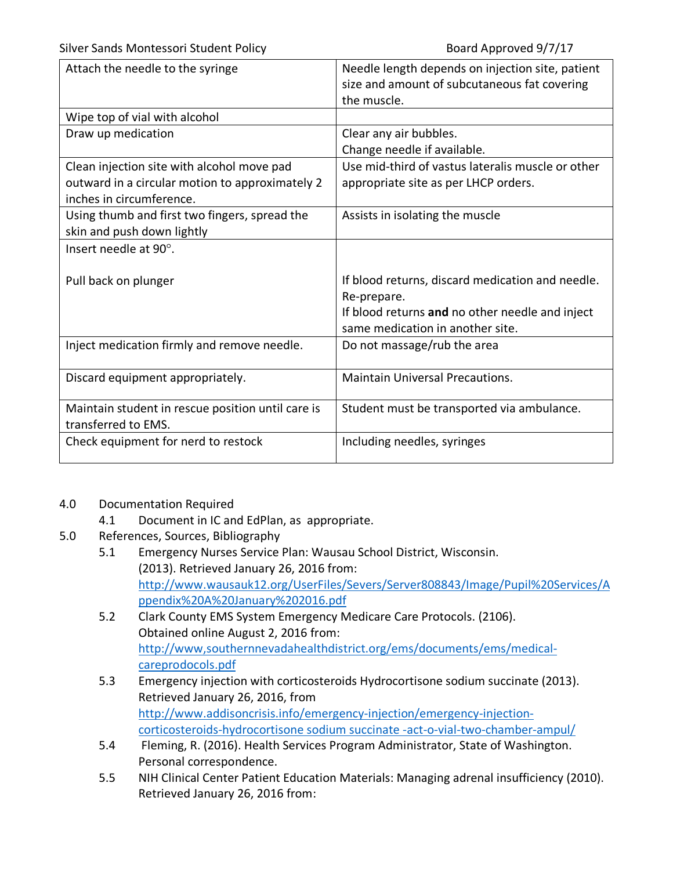| Attach the needle to the syringe                                                                                          | Needle length depends on injection site, patient<br>size and amount of subcutaneous fat covering<br>the muscle.                                        |
|---------------------------------------------------------------------------------------------------------------------------|--------------------------------------------------------------------------------------------------------------------------------------------------------|
| Wipe top of vial with alcohol                                                                                             |                                                                                                                                                        |
| Draw up medication                                                                                                        | Clear any air bubbles.<br>Change needle if available.                                                                                                  |
| Clean injection site with alcohol move pad<br>outward in a circular motion to approximately 2<br>inches in circumference. | Use mid-third of vastus lateralis muscle or other<br>appropriate site as per LHCP orders.                                                              |
| Using thumb and first two fingers, spread the<br>skin and push down lightly                                               | Assists in isolating the muscle                                                                                                                        |
| Insert needle at 90°.                                                                                                     |                                                                                                                                                        |
| Pull back on plunger                                                                                                      | If blood returns, discard medication and needle.<br>Re-prepare.<br>If blood returns and no other needle and inject<br>same medication in another site. |
| Inject medication firmly and remove needle.                                                                               | Do not massage/rub the area                                                                                                                            |
| Discard equipment appropriately.                                                                                          | <b>Maintain Universal Precautions.</b>                                                                                                                 |
| Maintain student in rescue position until care is<br>transferred to EMS.                                                  | Student must be transported via ambulance.                                                                                                             |
| Check equipment for nerd to restock                                                                                       | Including needles, syringes                                                                                                                            |

# 4.0 Documentation Required

- 4.1 Document in IC and EdPlan, as appropriate.
- 5.0 References, Sources, Bibliography
	- 5.1 Emergency Nurses Service Plan: Wausau School District, Wisconsin. (2013). Retrieved January 26, 2016 from: http://www.wausauk12.org/UserFiles/Severs/Server808843/Image/Pupil%20Services/A ppendix%20A%20January%202016.pdf
	- 5.2 Clark County EMS System Emergency Medicare Care Protocols. (2106). Obtained online August 2, 2016 from: http://www,southernnevadahealthdistrict.org/ems/documents/ems/medicalcareprodocols.pdf
	- 5.3 Emergency injection with corticosteroids Hydrocortisone sodium succinate (2013). Retrieved January 26, 2016, from http://www.addisoncrisis.info/emergency-injection/emergency-injectioncorticosteroids-hydrocortisone sodium succinate -act-o-vial-two-chamber-ampul/
	- 5.4 Fleming, R. (2016). Health Services Program Administrator, State of Washington. Personal correspondence.
	- 5.5 NIH Clinical Center Patient Education Materials: Managing adrenal insufficiency (2010). Retrieved January 26, 2016 from: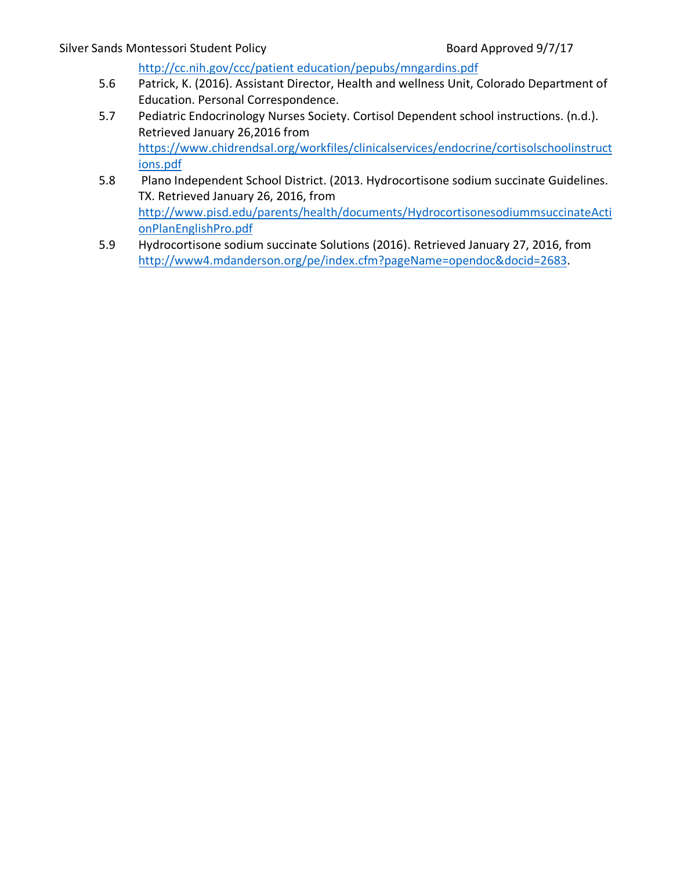http://cc.nih.gov/ccc/patient education/pepubs/mngardins.pdf

- 5.6 Patrick, K. (2016). Assistant Director, Health and wellness Unit, Colorado Department of Education. Personal Correspondence.
- 5.7 Pediatric Endocrinology Nurses Society. Cortisol Dependent school instructions. (n.d.). Retrieved January 26,2016 from https://www.chidrendsal.org/workfiles/clinicalservices/endocrine/cortisolschoolinstruct ions.pdf
- 5.8 Plano Independent School District. (2013. Hydrocortisone sodium succinate Guidelines. TX. Retrieved January 26, 2016, from http://www.pisd.edu/parents/health/documents/HydrocortisonesodiummsuccinateActi onPlanEnglishPro.pdf
- 5.9 Hydrocortisone sodium succinate Solutions (2016). Retrieved January 27, 2016, from http://www4.mdanderson.org/pe/index.cfm?pageName=opendoc&docid=2683.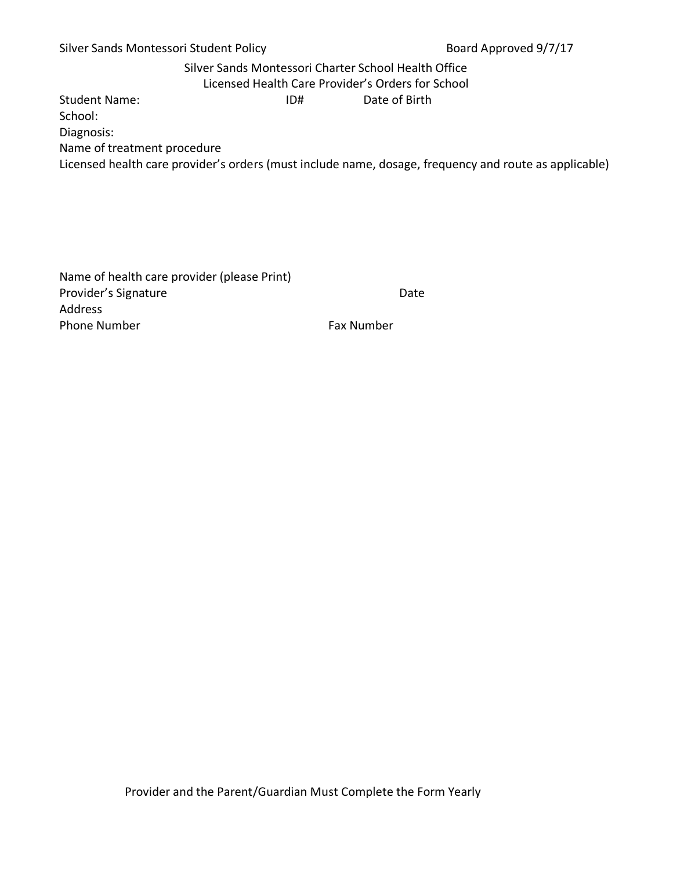# Silver Sands Montessori Charter School Health Office

Licensed Health Care Provider's Orders for School

Student Name: Student Name: ID# Date of Birth

School:

Diagnosis:

Name of treatment procedure

Licensed health care provider's orders (must include name, dosage, frequency and route as applicable)

Name of health care provider (please Print) Provider's Signature Date Date Address Phone Number **Fax Number** Fax Number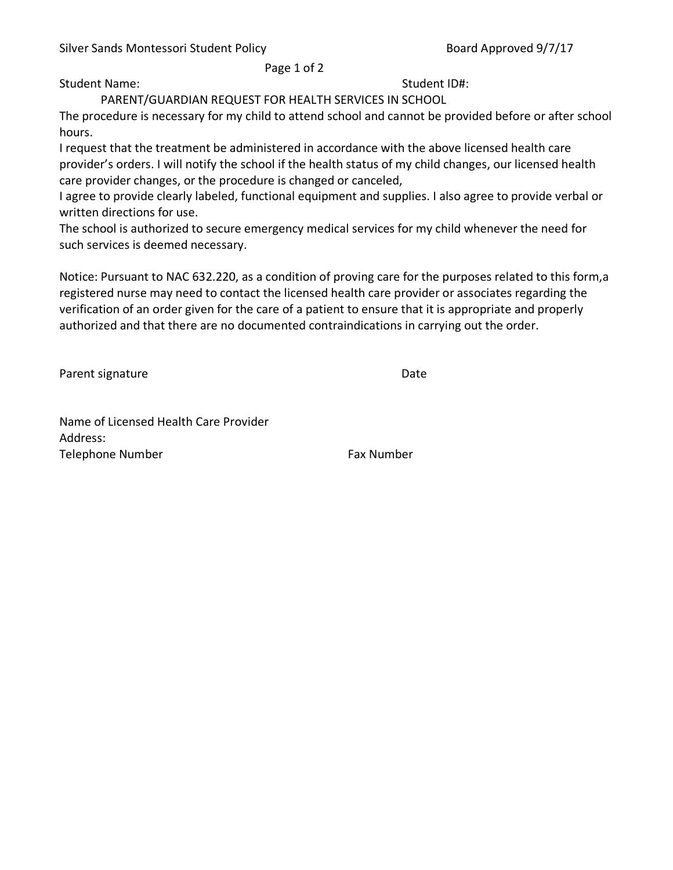Page 1 of 2

Student Name: Student ID#:

PARENT/GUARDIAN REQUEST FOR HEALTH SERVICES IN SCHOOL

The procedure is necessary for my child to attend school and cannot be provided before or after school hours.

I request that the treatment be administered in accordance with the above licensed health care provider's orders. I will notify the school if the health status of my child changes, our licensed health care provider changes, or the procedure is changed or canceled,

I agree to provide clearly labeled, functional equipment and supplies. I also agree to provide verbal or written directions for use.

The school is authorized to secure emergency medical services for my child whenever the need for such services is deemed necessary.

Notice: Pursuant to NAC 632.220, as a condition of proving care for the purposes related to this form,a registered nurse may need to contact the licensed health care provider or associates regarding the verification of an order given for the care of a patient to ensure that it is appropriate and properly authorized and that there are no documented contraindications in carrying out the order.

Parent signature Date

Name of Licensed Health Care Provider Address: Telephone Number **Fax Number** Fax Number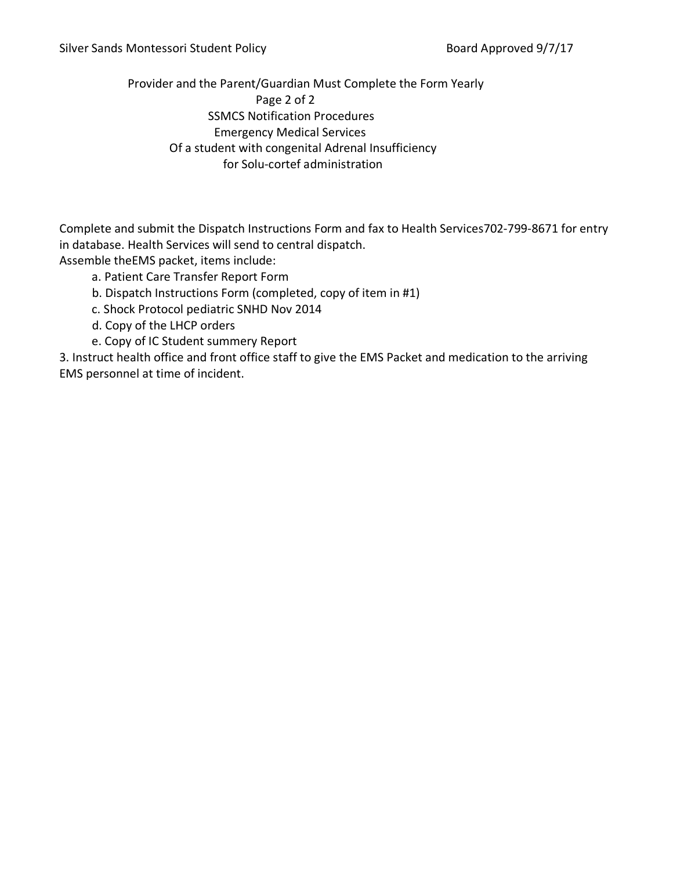Provider and the Parent/Guardian Must Complete the Form Yearly Page 2 of 2 SSMCS Notification Procedures Emergency Medical Services Of a student with congenital Adrenal Insufficiency for Solu-cortef administration

Complete and submit the Dispatch Instructions Form and fax to Health Services702-799-8671 for entry in database. Health Services will send to central dispatch.

Assemble theEMS packet, items include:

- a. Patient Care Transfer Report Form
- b. Dispatch Instructions Form (completed, copy of item in #1)
- c. Shock Protocol pediatric SNHD Nov 2014
- d. Copy of the LHCP orders
- e. Copy of IC Student summery Report

3. Instruct health office and front office staff to give the EMS Packet and medication to the arriving EMS personnel at time of incident.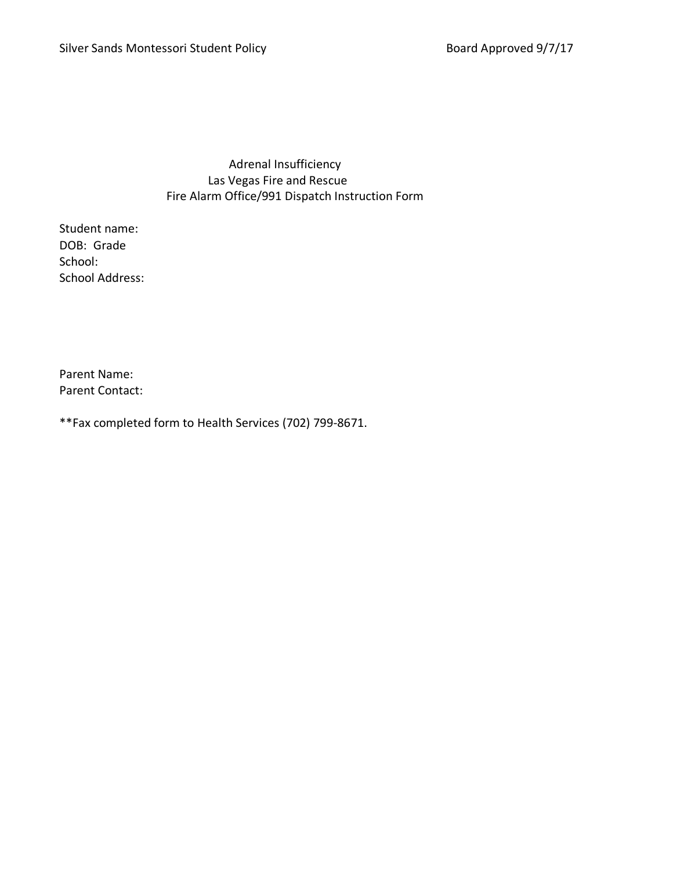Adrenal Insufficiency Las Vegas Fire and Rescue Fire Alarm Office/991 Dispatch Instruction Form

Student name: DOB: Grade School: School Address:

Parent Name: Parent Contact:

\*\*Fax completed form to Health Services (702) 799-8671.